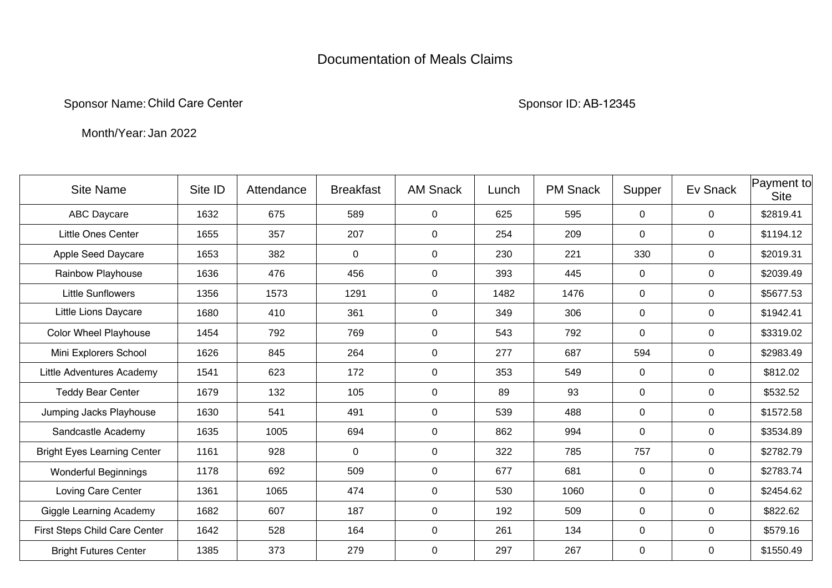## Documentation of Meals Claims

Sponsor Name: Child Care Center Sponsor ID: Sponsor ID: Sponsor ID:

AB-12345

Month/Year:Jan 2022

| <b>Site Name</b>                   | Site ID | Attendance | <b>Breakfast</b> | <b>AM Snack</b> | Lunch | <b>PM Snack</b> | Supper         | Ev Snack    | Payment to<br><b>Site</b> |
|------------------------------------|---------|------------|------------------|-----------------|-------|-----------------|----------------|-------------|---------------------------|
| <b>ABC Daycare</b>                 | 1632    | 675        | 589              | $\mathbf 0$     | 625   | 595             | $\mathbf 0$    | $\mathbf 0$ | \$2819.41                 |
| <b>Little Ones Center</b>          | 1655    | 357        | 207              | $\mathbf 0$     | 254   | 209             | $\mathbf 0$    | $\mathbf 0$ | \$1194.12                 |
| Apple Seed Daycare                 | 1653    | 382        | $\mathbf 0$      | $\mathbf 0$     | 230   | 221             | 330            | $\mathbf 0$ | \$2019.31                 |
| Rainbow Playhouse                  | 1636    | 476        | 456              | $\mathbf 0$     | 393   | 445             | 0              | $\mathbf 0$ | \$2039.49                 |
| <b>Little Sunflowers</b>           | 1356    | 1573       | 1291             | 0               | 1482  | 1476            | $\mathbf 0$    | $\mathbf 0$ | \$5677.53                 |
| Little Lions Daycare               | 1680    | 410        | 361              | 0               | 349   | 306             | 0              | 0           | \$1942.41                 |
| <b>Color Wheel Playhouse</b>       | 1454    | 792        | 769              | $\mathbf 0$     | 543   | 792             | 0              | $\mathbf 0$ | \$3319.02                 |
| Mini Explorers School              | 1626    | 845        | 264              | $\mathbf 0$     | 277   | 687             | 594            | $\mathbf 0$ | \$2983.49                 |
| Little Adventures Academy          | 1541    | 623        | 172              | $\mathbf 0$     | 353   | 549             | $\mathbf 0$    | $\mathbf 0$ | \$812.02                  |
| <b>Teddy Bear Center</b>           | 1679    | 132        | 105              | $\mathbf 0$     | 89    | 93              | $\mathbf 0$    | $\mathbf 0$ | \$532.52                  |
| Jumping Jacks Playhouse            | 1630    | 541        | 491              | $\mathbf 0$     | 539   | 488             | $\mathbf 0$    | $\mathbf 0$ | \$1572.58                 |
| Sandcastle Academy                 | 1635    | 1005       | 694              | $\mathbf 0$     | 862   | 994             | $\mathbf 0$    | $\mathbf 0$ | \$3534.89                 |
| <b>Bright Eyes Learning Center</b> | 1161    | 928        | 0                | $\mathbf 0$     | 322   | 785             | 757            | 0           | \$2782.79                 |
| <b>Wonderful Beginnings</b>        | 1178    | 692        | 509              | $\mathbf 0$     | 677   | 681             | $\mathbf 0$    | $\mathbf 0$ | \$2783.74                 |
| Loving Care Center                 | 1361    | 1065       | 474              | $\mathbf 0$     | 530   | 1060            | $\overline{0}$ | $\mathbf 0$ | \$2454.62                 |
| <b>Giggle Learning Academy</b>     | 1682    | 607        | 187              | $\mathbf 0$     | 192   | 509             | $\mathbf 0$    | $\mathbf 0$ | \$822.62                  |
| First Steps Child Care Center      | 1642    | 528        | 164              | $\mathbf 0$     | 261   | 134             | 0              | $\mathbf 0$ | \$579.16                  |
| <b>Bright Futures Center</b>       | 1385    | 373        | 279              | $\pmb{0}$       | 297   | 267             | 0              | $\mathbf 0$ | \$1550.49                 |